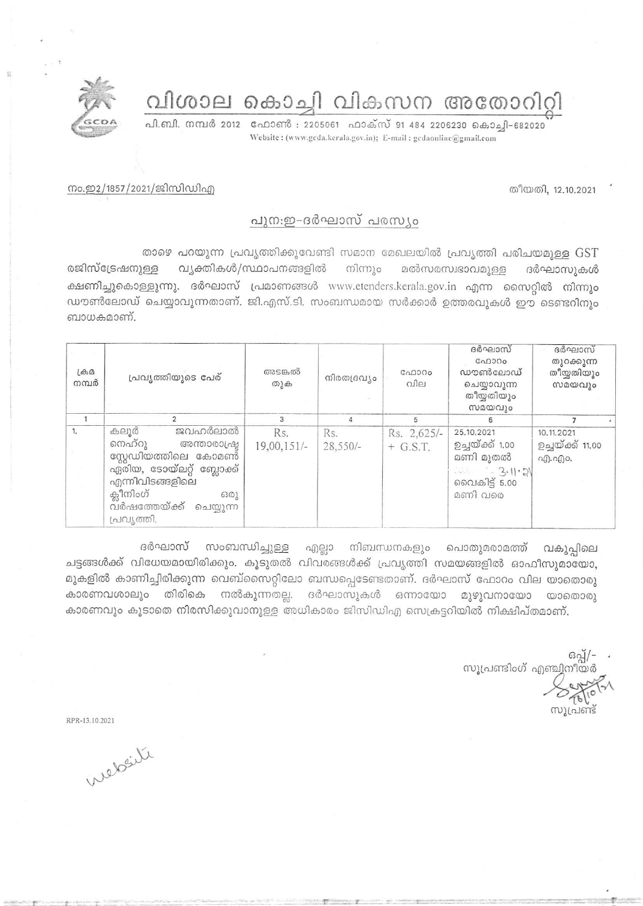വിശാല കൊച്ചി വികസന അതോറിറ്റി

പി.ബി. നമ്പർ 2012 ഫോൺ : 2205061 ഫാക്സ് 91 484 2206230 കൊച്ചി-682020 Website: (www.gcda.kerala.gov.in); E-mail: gcdaonline@gmail.com

തീയതി, 12.10.2021

## നം.ഇ2/1857/2021/ജിസിഡിഎ

## പുന:ഇ-ദർഘാസ് പരസ്യം

താഴെ പറയുന്ന പ്രവൃത്തിക്കുവേണ്ടി സമാന മേഖലയിൽ പ്രവൃത്തി പരിചയമുള്ള GST രജിസ്ട്രേഷനുള്ള വ്യക്തികൾ/സ്ഥാപനങ്ങളിൽ നിന്നും മൽസരസ്വഭാവമുള്ള ദർഘാസുകൾ ക്ഷണിച്ചുകൊള്ളുന്നു. ദർഘാസ് പ്രമാണങ്ങൾ www.etenders.kerala.gov.in എന്ന സൈറ്റിൽ നിന്നും ഡൗൺലോഡ് ചെയ്യാവുന്നതാണ്. ജി.എസ്.ടി. സംബന്ധമായ സർക്കാർ ഉത്തരവുകൾ ഈ ടെണ്ടറിനും ബാധകമാണ്.

| $L \oplus D$<br>നമ്പർ | പ്രവൃത്തിയുടെ പേര്                                                                                                                                                                   | അടങ്കൽ<br>തുക        | നിരതദ്രവ്യം       | ഫോറം<br>വില               | ദർഘാസ്<br>C <sub>0</sub> 000<br>ഡൗൺലോഡ്<br>ചെയ്യാവുന്ന<br>തീയ്യതിയും<br>സമയവും            | ദർഘാസ്<br>തുറക്കുന്ന<br>തീയ്യതിയും<br>സമയവും |
|-----------------------|--------------------------------------------------------------------------------------------------------------------------------------------------------------------------------------|----------------------|-------------------|---------------------------|-------------------------------------------------------------------------------------------|----------------------------------------------|
|                       |                                                                                                                                                                                      | 3                    |                   | 5                         |                                                                                           |                                              |
| 1.                    | ജവഹർലാൽ<br>കലൂർ<br>നെഹ്റു<br>അന്താരാപ്രഷ്ട<br>സ്റ്റേഡിയത്തിലെ കോമണ്<br>ഏരിയ, ടോയ്ലറ്റ് ബ്ലോക്ക്<br>എന്നിവിടങ്ങളിലെ<br>ക്ലീനിംഗ്<br>6301<br>വർഷത്തേയ്ക്ക്<br>ചെയ്യുന്ന<br>പ്രവ്യത്തി. | Rs.<br>$19,00,151/-$ | Rs.<br>$28,550/-$ | Rs. 2,625/-<br>$+$ G.S.T. | 25.10.2021<br>ഉച്ചയ്ക്ക് 1.00<br>മണി മുതൽ<br>$3.0022 - 3.112$<br>വൈകിട്ട് 5.00<br>മണി വരെ | 10.11.2021<br>ഉച്ചയ്ക്ക് 11.00<br>എ.എം.      |

ദർഘാസ് സംബന്ധിച്ചുള്ള എല്ലാ നിബന്ധനകളും പൊതുമരാമത്ത് വകുപ്പിലെ ചട്ടങ്ങൾക്ക് വിധേയമായിരിക്കും. കൂടുതൽ വിവരങ്ങൾക്ക് പ്രവൃത്തി സമയങ്ങളിൽ ഓഫീസുമായോ, മുകളിൽ കാണിച്ചിരിക്കുന്ന വെബ്സൈറ്റിലോ ബന്ധപ്പെടേണ്ടതാണ്. ദർഘാസ് ഫോറം വില യാതൊരു കാരണവശാലും തിരികെ നൽകുന്നതല്ല. ദർഘാസുകൾ ഒന്നായോ മുഴുവനായോ യാതൊരു കാരണവും കൂടാതെ നിരസിക്കുവാനുള്ള അധികാരം ജിസിഡിഎ സെക്രട്ടറിയിൽ നിക്ഷിപ്തമാണ്.

ഒപ്പ്/-സൂപ്രണ്ടിംഗ് എഞ്ചിനീയർ

RPR-13, 10, 2021

website